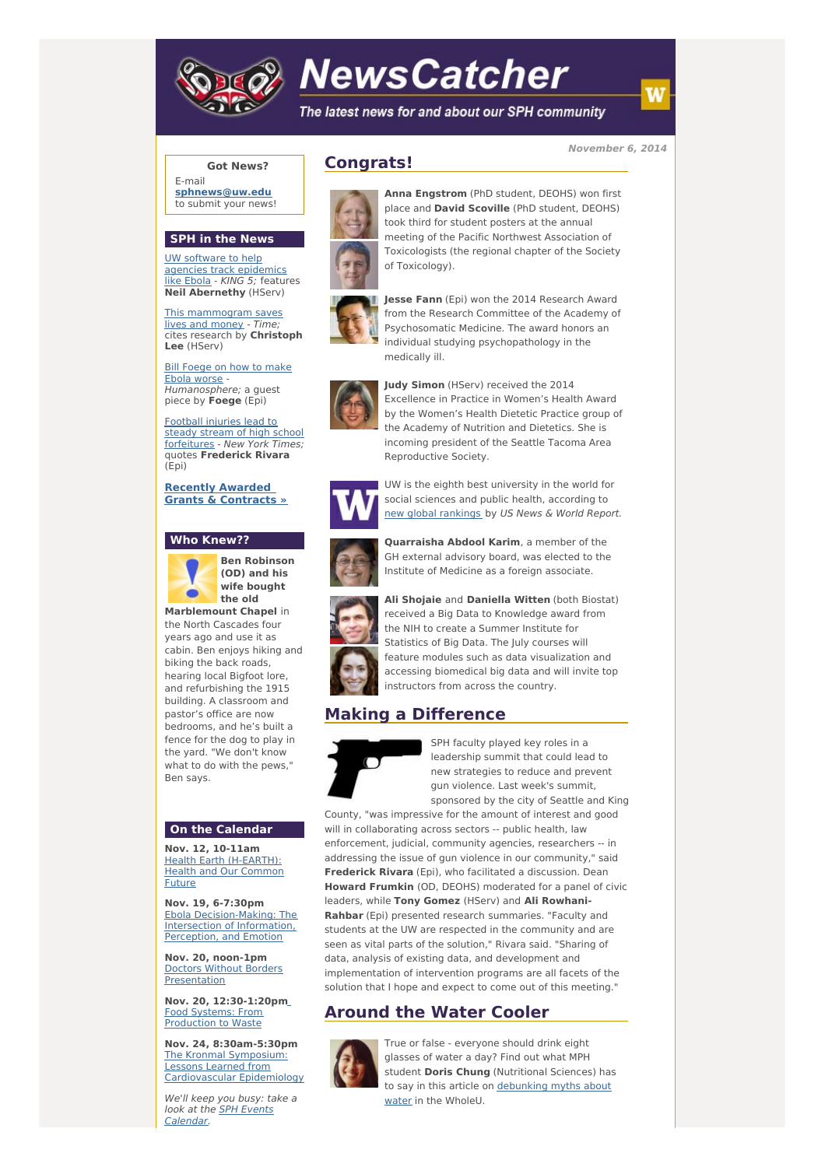

# **NewsCatcher**

The latest news for and about our SPH community

**November 6, 2014**

## **Got News?**

E-mail **[sphnews@uw.edu](mailto:sphnews@uw.edu)** to submit your news!

#### **SPH in the News**

UW software to help agencies track [epidemics](http://engage.washington.edu/site/R?i=vRFWEZ6QuGj3ETh7pT0J6Q) like Ebola - KING 5; features **Neil Abernethy** (HServ)

This [mammogram](http://engage.washington.edu/site/R?i=U1ohzZ9DwxW9_5RPR8aLLg) saves lives and money - Time; cites research by **Christoph Lee** (HServ)

Bill [Foege](http://engage.washington.edu/site/R?i=dt_1nDBfGXT8t2PPR2PWFA) on how to make Ebola worse Humanosphere; a quest piece by **Foege** (Epi)

Football injuries lead to steady stream of high school [forfeitures](http://engage.washington.edu/site/R?i=5PEcY-ZrjIR9zKYfSy_eXg) - New York Times; quotes **Frederick Rivara** (Epi)

**Recently Awarded Grants & [Contracts](http://engage.washington.edu/site/R?i=KOlHkBhuO3R7HrsKmpiqOw) »**

#### **Who Knew??**



**Ben Robinson (OD) and his wife bought the old**

**Marblemount Chapel** in the North Cascades four years ago and use it as cabin. Ben enjoys hiking and biking the back roads, hearing local Bigfoot lore, and refurbishing the 1915 building. A classroom and pastor's office are now bedrooms, and he's built a fence for the dog to play in the yard. "We don't know what to do with the pews," Ben says.

## **On the Calendar**

**Nov. 12, 10-11am** Health Earth [\(H-EARTH\):](http://engage.washington.edu/site/R?i=L3FL7oPEnMcDBD5jd7mkVg) Health and Our Common Future

**Nov. 19, 6-7:30pm** Ebola [Decision-Making:](http://engage.washington.edu/site/R?i=10riElElkvsyL0QpyLw5xg) The Intersection of Information, Perception, and Emotion

**Nov. 20, noon-1pm** Doctors Without Borders [Presentation](http://engage.washington.edu/site/R?i=9jGH-ChphTb7wBAc7vg-hA)

**Nov. 20, 12:30-1:20p[m](http://engage.washington.edu/site/R?i=eEoa3mAzzHkUmtnnW8jQsQ)** Food Systems: From [Production](http://engage.washington.edu/site/R?i=qsMLbLzUfW_Qiz6VxKZ4hA) to Waste

**Nov. 24, 8:30am-5:30pm** The Kronmal Symposium: Lessons Learned from [Cardiovascular](http://engage.washington.edu/site/R?i=XWkF2oN_8hqS0uNJ196GWg) Epidemiology

We'll keep you busy: take a look at the SPH Events [Calendar.](http://engage.washington.edu/site/R?i=JwC3mFjy4YxBMd8WEsQSOA)

# **Congrats!**



place and **David Scoville** (PhD student, DEOHS) took third for student posters at the annual meeting of the Pacific Northwest Association of Toxicologists (the regional chapter of the Society of Toxicology).

**Anna Engstrom** (PhD student, DEOHS) won first



**Jesse Fann** (Epi) won the 2014 Research Award from the Research Committee of the Academy of Psychosomatic Medicine. The award honors an individual studying psychopathology in the medically ill.



**Judy Simon** (HServ) received the 2014 Excellence in Practice in Women's Health Award by the Women's Health Dietetic Practice group of the Academy of Nutrition and Dietetics. She is incoming president of the Seattle Tacoma Area Reproductive Society.



UW is the eighth best university in the world for social sciences and public health, according to new global [rankings](http://engage.washington.edu/site/R?i=PHu1MeU1Nt2OQkjmhisCUw) by US News & World Report.



**Quarraisha Abdool Karim**, a member of the GH external advisory board, was elected to the Institute of Medicine as a foreign associate.

received a Big Data to Knowledge award from the NIH to create a Summer Institute for Statistics of Big Data. The July courses will feature modules such as data visualization and accessing biomedical big data and will invite top instructors from across the country.

# **Making a Difference**



SPH faculty played key roles in a leadership summit that could lead to new strategies to reduce and prevent gun violence. Last week's summit, sponsored by the city of Seattle and King

County, "was impressive for the amount of interest and good will in collaborating across sectors -- public health, law enforcement, judicial, community agencies, researchers -- in addressing the issue of gun violence in our community," said **Frederick Rivara** (Epi), who facilitated a discussion. Dean **Howard Frumkin** (OD, DEOHS) moderated for a panel of civic leaders, while **Tony Gomez** (HServ) and **Ali Rowhani-Rahbar** (Epi) presented research summaries. "Faculty and students at the UW are respected in the community and are seen as vital parts of the solution," Rivara said. "Sharing of data, analysis of existing data, and development and implementation of intervention programs are all facets of the solution that I hope and expect to come out of this meeting."

# **Around the Water Cooler**



True or false - everyone should drink eight glasses of water a day? Find out what MPH student **Doris Chung** (Nutritional Sciences) has to say in this article on [debunking](http://engage.washington.edu/site/R?i=FL32JF_GV-ZdTgtVBd4vbg) myths about water in the WholeU.

# **Ali Shojaie** and **Daniella Witten** (both Biostat)